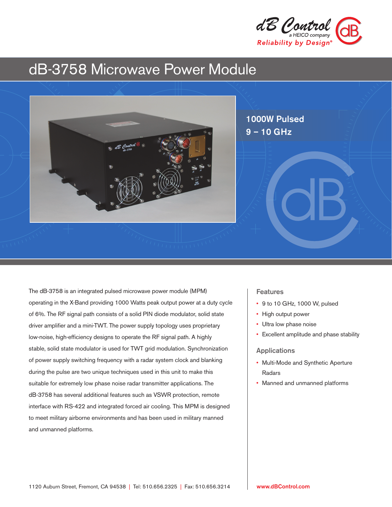

# dB-3758 Microwave Power Module



The dB-3758 is an integrated pulsed microwave power module (MPM) operating in the X-Band providing 1000 Watts peak output power at a duty cycle of 6%. The RF signal path consists of a solid PIN diode modulator, solid state driver amplifier and a mini-TWT. The power supply topology uses proprietary low-noise, high-efficiency designs to operate the RF signal path. A highly stable, solid state modulator is used for TWT grid modulation. Synchronization of power supply switching frequency with a radar system clock and blanking during the pulse are two unique techniques used in this unit to make this suitable for extremely low phase noise radar transmitter applications. The dB-3758 has several additional features such as VSWR protection, remote interface with RS-422 and integrated forced air cooling. This MPM is designed to meet military airborne environments and has been used in military manned and unmanned platforms.

### Features

- 9 to 10 GHz, 1000 W, pulsed
- High output power
- Ultra low phase noise
- Excellent amplitude and phase stability

#### Applications

- Multi-Mode and Synthetic Aperture Radars
- Manned and unmanned platforms